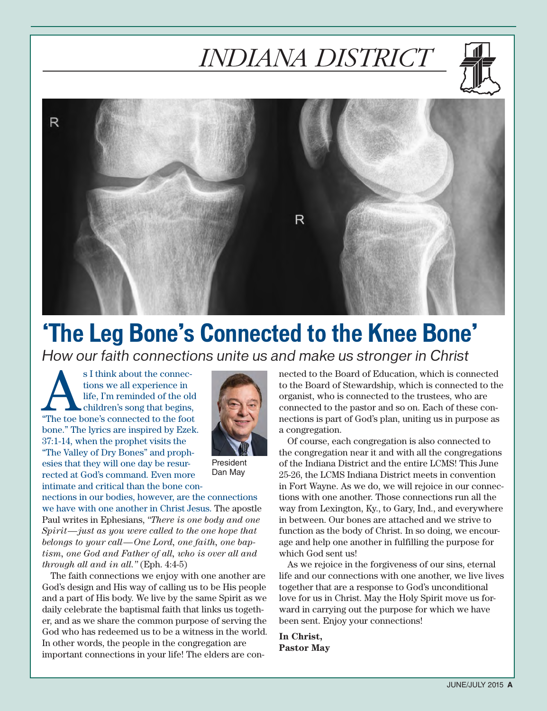# *INDIANA DISTRICT*





# **'The Leg Bone's Connected to the Knee Bone'**

*How our faith connections unite us and make us stronger in Christ*

s I think about the connections we all experience in life, I'm reminded of the old children's song that begins, "The toe bone's connected to the foot tions we all experience in life, I'm reminded of the old children's song that begins, bone." The lyrics are inspired by Ezek. 37:1-14, when the prophet visits the "The Valley of Dry Bones" and prophesies that they will one day be resurrected at God's command. Even more intimate and critical than the bone con-



President Dan May

nections in our bodies, however, are the connections we have with one another in Christ Jesus. The apostle Paul writes in Ephesians, *"There is one body and one Spirit—just as you were called to the one hope that belongs to your call—One Lord, one faith, one baptism, one God and Father of all, who is over all and through all and in all."* (Eph. 4:4-5)

The faith connections we enjoy with one another are God's design and His way of calling us to be His people and a part of His body. We live by the same Spirit as we daily celebrate the baptismal faith that links us together, and as we share the common purpose of serving the God who has redeemed us to be a witness in the world. In other words, the people in the congregation are important connections in your life! The elders are connected to the Board of Education, which is connected to the Board of Stewardship, which is connected to the organist, who is connected to the trustees, who are connected to the pastor and so on. Each of these connections is part of God's plan, uniting us in purpose as a congregation.

Of course, each congregation is also connected to the congregation near it and with all the congregations of the Indiana District and the entire LCMS! This June 25-26, the LCMS Indiana District meets in convention in Fort Wayne. As we do, we will rejoice in our connections with one another. Those connections run all the way from Lexington, Ky., to Gary, Ind., and everywhere in between. Our bones are attached and we strive to function as the body of Christ. In so doing, we encourage and help one another in fulfilling the purpose for which God sent us!

As we rejoice in the forgiveness of our sins, eternal life and our connections with one another, we live lives together that are a response to God's unconditional love for us in Christ. May the Holy Spirit move us forward in carrying out the purpose for which we have been sent. Enjoy your connections!

**In Christ, Pastor May**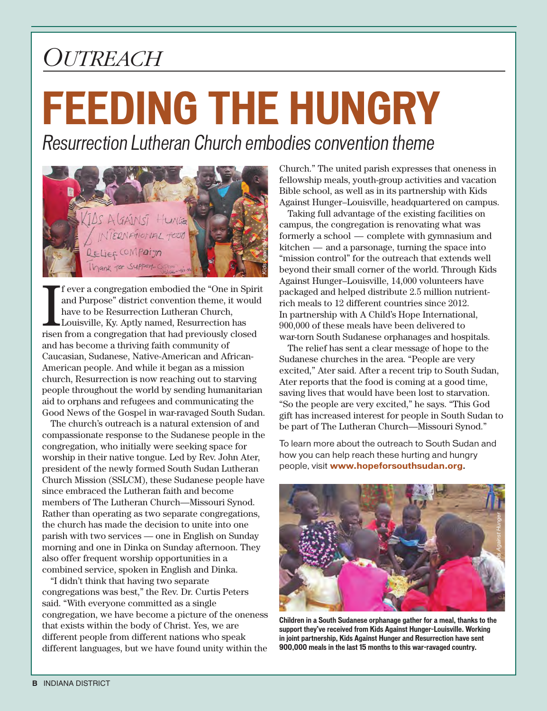# *Outreach*

# **FEEDING THE HUNGRY**

*Resurrection Lutheran Church embodies convention theme*



I f ever a congregation embodied the "One in Spiri<br>and Purpose" district convention theme, it would<br>have to be Resurrection Lutheran Church,<br>Louisville, Ky. Aptly named, Resurrection has<br>risen from a congregation that had f ever a congregation embodied the "One in Spirit and Purpose" district convention theme, it would have to be Resurrection Lutheran Church, Louisville, Ky. Aptly named, Resurrection has and has become a thriving faith community of Caucasian, Sudanese, Native-American and African-American people. And while it began as a mission church, Resurrection is now reaching out to starving people throughout the world by sending humanitarian aid to orphans and refugees and communicating the Good News of the Gospel in war-ravaged South Sudan.

The church's outreach is a natural extension of and compassionate response to the Sudanese people in the congregation, who initially were seeking space for worship in their native tongue. Led by Rev. John Ater, president of the newly formed South Sudan Lutheran Church Mission (SSLCM), these Sudanese people have since embraced the Lutheran faith and become members of The Lutheran Church—Missouri Synod. Rather than operating as two separate congregations, the church has made the decision to unite into one parish with two services — one in English on Sunday morning and one in Dinka on Sunday afternoon. They also offer frequent worship opportunities in a combined service, spoken in English and Dinka.

"I didn't think that having two separate congregations was best," the Rev. Dr. Curtis Peters said. "With everyone committed as a single congregation, we have become a picture of the oneness that exists within the body of Christ. Yes, we are different people from different nations who speak different languages, but we have found unity within the

Church." The united parish expresses that oneness in fellowship meals, youth-group activities and vacation Bible school, as well as in its partnership with Kids Against Hunger–Louisville, headquartered on campus.

Taking full advantage of the existing facilities on campus, the congregation is renovating what was formerly a school — complete with gymnasium and kitchen — and a parsonage, turning the space into "mission control" for the outreach that extends well beyond their small corner of the world. Through Kids Against Hunger–Louisville, 14,000 volunteers have packaged and helped distribute 2.5 million nutrientrich meals to 12 different countries since 2012. In partnership with A Child's Hope International, 900,000 of these meals have been delivered to war-torn South Sudanese orphanages and hospitals.

The relief has sent a clear message of hope to the Sudanese churches in the area. "People are very excited," Ater said. After a recent trip to South Sudan, Ater reports that the food is coming at a good time, saving lives that would have been lost to starvation. "So the people are very excited," he says. "This God gift has increased interest for people in South Sudan to be part of The Lutheran Church—Missouri Synod."

To learn more about the outreach to South Sudan and how you can help reach these hurting and hungry people, visit **www.hopeforsouthsudan.org**.



**Children in a South Sudanese orphanage gather for a meal, thanks to the support they've received from Kids Against Hunger–Louisville. Working in joint partnership, Kids Against Hunger and Resurrection have sent 900,000 meals in the last 15 months to this war-ravaged country.**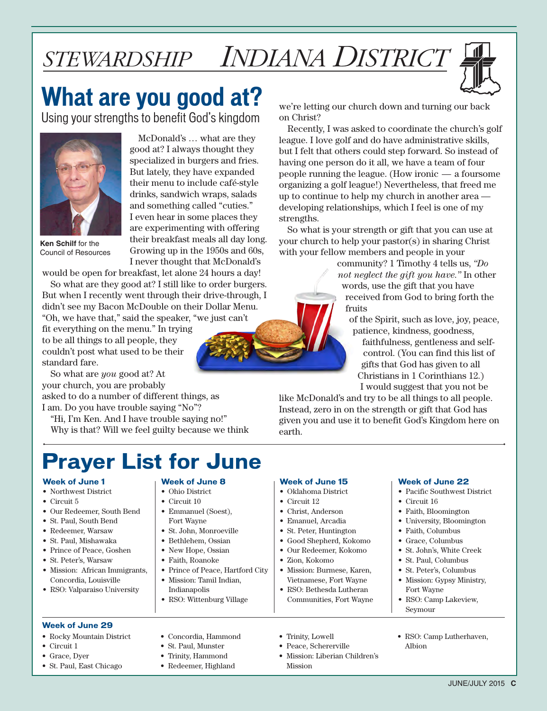# *stewardship INDIANA DISTRICT*

# **What are you good at?**

Using your strengths to benefit God's kingdom



McDonald's … what are they good at? I always thought they specialized in burgers and fries. But lately, they have expanded their menu to include café-style drinks, sandwich wraps, salads and something called "cuties." I even hear in some places they are experimenting with offering their breakfast meals all day long. Growing up in the 1950s and 60s, I never thought that McDonald's

**Ken Schilf** for the Council of Resources

would be open for breakfast, let alone 24 hours a day!

So what are they good at? I still like to order burgers. But when I recently went through their drive-through, I didn't see my Bacon McDouble on their Dollar Menu. "Oh, we have that," said the speaker, "we just can't

fit everything on the menu." In trying to be all things to all people, they couldn't post what used to be their standard fare.

So what are *you* good at? At your church, you are probably asked to do a number of different things, as I am. Do you have trouble saying "No"?

"Hi, I'm Ken. And I have trouble saying no!" Why is that? Will we feel guilty because we think

### **Prayer List for June**

**Week of June 8** • Ohio District • Circuit 10 • Emmanuel (Soest), Fort Wayne • St. John, Monroeville • Bethlehem, Ossian • New Hope, Ossian • Faith, Roanoke

• Prince of Peace, Hartford City • Mission: Tamil Indian, Indianapolis • RSO: Wittenburg Village

• Concordia, Hammond • St. Paul, Munster • Trinity, Hammond • Redeemer, Highland

#### **Week of June 1**

- Northwest District
- Circuit 5
- Our Redeemer, South Bend
- St. Paul, South Bend
- Redeemer, Warsaw
- St. Paul, Mishawaka
- Prince of Peace, Goshen
- St. Peter's, Warsaw
- Mission: African Immigrants, Concordia, Louisville

#### • RSO: Valparaiso University

#### **Week of June 29**

- Rocky Mountain District
- Circuit 1
- Grace, Dyer
- St. Paul, East Chicago



we're letting our church down and turning our back on Christ?

Recently, I was asked to coordinate the church's golf league. I love golf and do have administrative skills, but I felt that others could step forward. So instead of having one person do it all, we have a team of four people running the league. (How ironic — a foursome organizing a golf league!) Nevertheless, that freed me up to continue to help my church in another area developing relationships, which I feel is one of my strengths.

So what is your strength or gift that you can use at your church to help your pastor(s) in sharing Christ with your fellow members and people in your

> community? 1 Timothy 4 tells us, *"Do not neglect the gift you have."* In other words, use the gift that you have received from God to bring forth the fruits

of the Spirit, such as love, joy, peace, patience, kindness, goodness,

faithfulness, gentleness and selfcontrol. (You can find this list of gifts that God has given to all Christians in 1 Corinthians 12.) I would suggest that you not be

like McDonald's and try to be all things to all people. Instead, zero in on the strength or gift that God has given you and use it to benefit God's Kingdom here on earth.

### • Oklahoma District • Circuit 12

• Christ, Anderson

**Week of June 15**

- Emanuel, Arcadia
- St. Peter, Huntington
- Good Shepherd, Kokomo
- Our Redeemer, Kokomo
- Zion, Kokomo

• Trinity, Lowell • Peace, Schererville • Mission: Liberian Children's

Mission

- Mission: Burmese, Karen, Vietnamese, Fort Wayne
- RSO: Bethesda Lutheran Communities, Fort Wayne

#### **Week of June 22**

- Pacific Southwest District
- Circuit 16
- Faith, Bloomington
- University, Bloomington
- Faith, Columbus
- Grace, Columbus
- St. John's, White Creek
- St. Paul, Columbus
- St. Peter's, Columbus
- Mission: Gypsy Ministry, Fort Wayne

• RSO: Camp Lutherhaven,

Albion

- RSO: Camp Lakeview, Seymour
	- JUNE/JULY 2015 **C**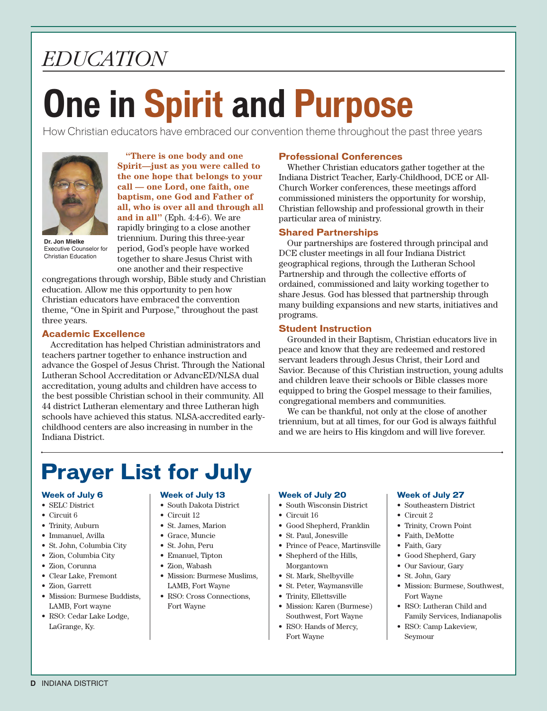# *education*

# **One in Spirit and Purpose**

How Christian educators have embraced our convention theme throughout the past three years



Executive Counselor for Christian Education

**"There is one body and one Spirit—just as you were called to the one hope that belongs to your call — one Lord, one faith, one baptism, one God and Father of all, who is over all and through all and in all"** (Eph. 4:4-6). We are rapidly bringing to a close another triennium. During this three-year period, God's people have worked together to share Jesus Christ with one another and their respective

congregations through worship, Bible study and Christian education. Allow me this opportunity to pen how Christian educators have embraced the convention theme, "One in Spirit and Purpose," throughout the past three years.

#### **Academic Excellence**

Accreditation has helped Christian administrators and teachers partner together to enhance instruction and advance the Gospel of Jesus Christ. Through the National Lutheran School Accreditation or AdvancED/NLSA dual accreditation, young adults and children have access to the best possible Christian school in their community. All 44 district Lutheran elementary and three Lutheran high schools have achieved this status. NLSA-accredited earlychildhood centers are also increasing in number in the Indiana District.

### **Professional Conferences**

Whether Christian educators gather together at the Indiana District Teacher, Early-Childhood, DCE or All-Church Worker conferences, these meetings afford commissioned ministers the opportunity for worship, Christian fellowship and professional growth in their particular area of ministry.

### **Shared Partnerships**

Our partnerships are fostered through principal and DCE cluster meetings in all four Indiana District geographical regions, through the Lutheran School Partnership and through the collective efforts of ordained, commissioned and laity working together to share Jesus. God has blessed that partnership through many building expansions and new starts, initiatives and programs.

#### **Student Instruction**

Grounded in their Baptism, Christian educators live in peace and know that they are redeemed and restored servant leaders through Jesus Christ, their Lord and Savior. Because of this Christian instruction, young adults and children leave their schools or Bible classes more equipped to bring the Gospel message to their families, congregational members and communities.

We can be thankful, not only at the close of another triennium, but at all times, for our God is always faithful and we are heirs to His kingdom and will live forever.

### **Prayer List for July**

#### **Week of July 6**

- SELC District
- Circuit 6
- Trinity, Auburn
- Immanuel, Avilla
- St. John, Columbia City
- Zion, Columbia City
- Zion, Corunna
- Clear Lake, Fremont
- Zion, Garrett
- Mission: Burmese Buddists, LAMB, Fort wayne
- RSO: Cedar Lake Lodge, LaGrange, Ky.

#### **Week of July 13**

- South Dakota District
- Circuit 12
- St. James, Marion
- Grace, Muncie
- St. John, Peru
- Emanuel, Tipton
- Zion, Wabash
- Mission: Burmese Muslims, LAMB, Fort Wayne
- RSO: Cross Connections, Fort Wayne

#### **Week of July 20**

- South Wisconsin District
- Circuit 16
- Good Shepherd, Franklin
- St. Paul, Jonesville
- Prince of Peace, Martinsville • Shepherd of the Hills, Morgantown
- St. Mark, Shelbyville
- St. Peter, Waymansville
- Trinity, Ellettsville
- Mission: Karen (Burmese) Southwest, Fort Wayne
- RSO: Hands of Mercy, Fort Wayne

#### **Week of July 27**

- Southeastern District
- Circuit 2
- Trinity, Crown Point
- Faith, DeMotte
- Faith, Gary
- Good Shepherd, Gary
- Our Saviour, Gary
- St. John, Gary
- Mission: Burmese, Southwest, Fort Wayne
- RSO: Lutheran Child and Family Services, Indianapolis
- RSO: Camp Lakeview, Seymour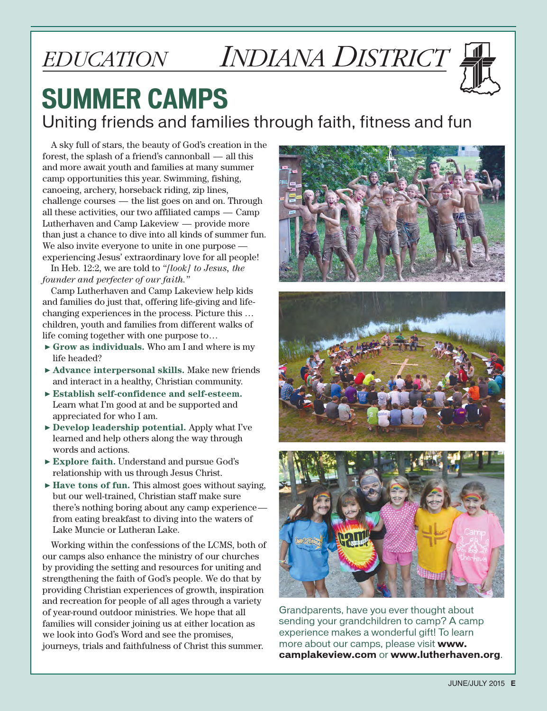# *education INDIANA DISTRICT*



## **SUMMER CAMPS** Uniting friends and families through faith, fitness and fun

A sky full of stars, the beauty of God's creation in the forest, the splash of a friend's cannonball — all this and more await youth and families at many summer camp opportunities this year. Swimming, fishing, canoeing, archery, horseback riding, zip lines, challenge courses — the list goes on and on. Through all these activities, our two affiliated camps — Camp Lutherhaven and Camp Lakeview — provide more than just a chance to dive into all kinds of summer fun. We also invite everyone to unite in one purpose experiencing Jesus' extraordinary love for all people!

In Heb. 12:2, we are told to *"[look] to Jesus, the founder and perfecter of our faith."*

Camp Lutherhaven and Camp Lakeview help kids and families do just that, offering life-giving and lifechanging experiences in the process. Picture this … children, youth and families from different walks of life coming together with one purpose to…

- ▶ **Grow as individuals.** Who am I and where is my life headed?
- ▶ **Advance interpersonal skills.** Make new friends and interact in a healthy, Christian community.
- ▶ **Establish self-confidence and self-esteem.** Learn what I'm good at and be supported and appreciated for who I am.
- ▶ **Develop leadership potential.** Apply what I've learned and help others along the way through words and actions.
- ▶ **Explore faith.** Understand and pursue God's relationship with us through Jesus Christ.
- ▶ **Have tons of fun.** This almost goes without saying, but our well-trained, Christian staff make sure there's nothing boring about any camp experience from eating breakfast to diving into the waters of Lake Muncie or Lutheran Lake.

Working within the confessions of the LCMS, both of our camps also enhance the ministry of our churches by providing the setting and resources for uniting and strengthening the faith of God's people. We do that by providing Christian experiences of growth, inspiration and recreation for people of all ages through a variety of year-round outdoor ministries. We hope that all families will consider joining us at either location as we look into God's Word and see the promises, journeys, trials and faithfulness of Christ this summer.







Grandparents, have you ever thought about sending your grandchildren to camp? A camp experience makes a wonderful gift! To learn more about our camps, please visit **www. camplakeview.com** or **www.lutherhaven.org**.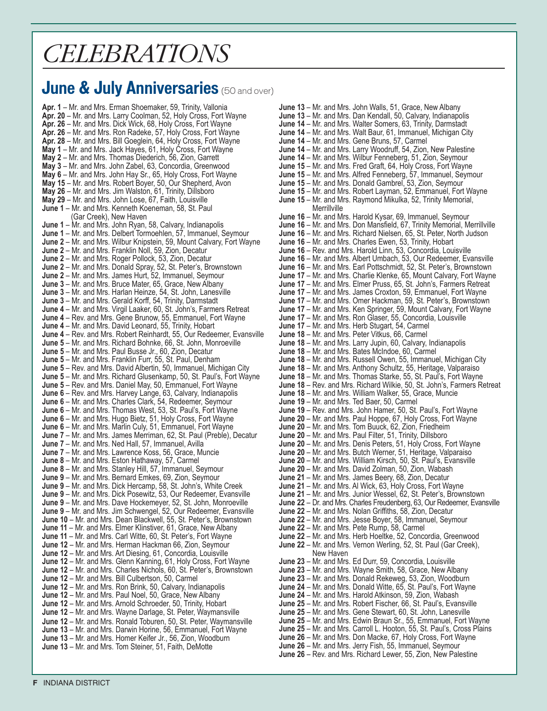### *CELEBRATIONS*

### **June & July Anniversaries** (50 and over)

**Apr. 1** – Mr. and Mrs. Erman Shoemaker, 59, Trinity, Vallonia **Apr. 20** – Mr. and Mrs. Larry Coolman, 52, Holy Cross, Fort Wayne **Apr. 26** – Mr. and Mrs. Dick Wick, 68, Holy Cross, Fort Wayne **Apr. 26** – Mr. and Mrs. Ron Radeke, 57, Holy Cross, Fort Wayne **Apr. 28** – Mr. and Mrs. Bill Goeglein, 64, Holy Cross, Fort Wayne **May 1** – Mr. and Mrs. Jack Hayes, 61, Holy Cross, Fort Wayne **May 2** – Mr. and Mrs. Thomas Diederich, 56, Zion, Garrett **May 3** – Mr. and Mrs. John Zabel, 63, Concordia, Greenwood **May 6** – Mr. and Mrs. John Hay Sr., 65, Holy Cross, Fort Wayne **May 15** – Mr. and Mrs. Robert Boyer, 50, Our Shepherd, Avon **May 26** – Mr. and Mrs. Jim Walston, 61, Trinity, Dillsboro **May 29** – Mr. and Mrs. John Lose, 67, Faith, Louisville **June 1** – Mr. and Mrs. Kenneth Koeneman, 58, St. Paul (Gar Creek), New Haven **June 1** – Mr. and Mrs. John Ryan, 58, Calvary, Indianapolis June 1 - Mr. and Mrs. Delbert Tormoehlen, 57, Immanuel, Seymour **June 2** – Mr. and Mrs. Wilbur Knipstein, 59, Mount Calvary, Fort Wayne **June 2** – Mr. and Mrs. Franklin Noll, 59, Zion, Decatur **June 2** – Mr. and Mrs. Roger Pollock, 53, Zion, Decatur **June 2** – Mr. and Mrs. Donald Spray, 52, St. Peter's, Brownstown **June 2** – Mr. and Mrs. James Hurt, 52, Immanuel, Seymour **June 3** – Mr. and Mrs. Bruce Mater, 65, Grace, New Albany **June 3** – Mr. and Mrs. Harlan Heinze, 54, St. John, Lanesville **June 3** – Mr. and Mrs. Gerald Korff, 54, Trinity, Darmstadt **June 4** – Mr. and Mrs. Virgil Laaker, 60, St. John's, Farmers Retreat **June 4** – Rev. and Mrs. Gene Brunow, 55, Emmanuel, Fort Wayne **June 4** – Mr. and Mrs. David Leonard, 55, Trinity, Hobart **June 4** – Rev. and Mrs. Robert Reinhardt, 55, Our Redeemer, Evansville **June 5** – Mr. and Mrs. Richard Bohnke, 66, St. John, Monroeville **June 5** – Mr. and Mrs. Paul Busse Jr., 60, Zion, Decatur **June 5** – Mr. and Mrs. Franklin Furr, 55, St. Paul, Denham **June 5** – Rev. and Mrs. David Albertin, 50, Immanuel, Michigan City **June 5** – Mr. and Mrs. Richard Glusenkamp, 50, St. Paul's, Fort Wayne **June 5** – Rev. and Mrs. Daniel May, 50, Emmanuel, Fort Wayne **June 6** – Rev. and Mrs. Harvey Lange, 63, Calvary, Indianapolis **June 6** – Mr. and Mrs. Charles Clark, 54, Redeemer, Seymour **June 6** – Mr. and Mrs. Thomas West, 53, St. Paul's, Fort Wayne **June 6** – Mr. and Mrs. Hugo Bietz, 51, Holy Cross, Fort Wayne **June 6** – Mr. and Mrs. Marlin Culy, 51, Emmanuel, Fort Wayne **June 7** – Mr. and Mrs. James Merriman, 62, St. Paul (Preble), Decatur **June 7** – Mr. and Mrs. Ned Hall, 57, Immanuel, Avilla **June 7** – Mr. and Mrs. Lawrence Koss, 56, Grace, Muncie **June 8** – Mr. and Mrs. Eston Hathaway, 57, Carmel **June 8** – Mr. and Mrs. Stanley Hill, 57, Immanuel, Seymour **June 9** – Mr. and Mrs. Bernard Emkes, 69, Zion, Seymour **June 9** – Mr. and Mrs. Dick Hercamp, 58, St. John's, White Creek **June 9** – Mr. and Mrs. Dick Posewitz, 53, Our Redeemer, Evansville **June 9** – Mr. and Mrs. Dave Hockemeyer, 52, St. John, Monroeville **June 9** – Mr. and Mrs. Jim Schwengel, 52, Our Redeemer, Evansville **June 10** – Mr. and Mrs. Dean Blackwell, 55, St. Peter's, Brownstown **June 11** – Mr. and Mrs. Elmer Klinstiver, 61, Grace, New Albany **June 11** – Mr. and Mrs. Carl Witte, 60, St. Peter's, Fort Wayne **June 12** – Mr. and Mrs. Herman Hackman 66, Zion, Seymour **June 12** – Mr. and Mrs. Art Diesing, 61, Concordia, Louisville **June 12** – Mr. and Mrs. Glenn Kanning, 61, Holy Cross, Fort Wayne **June 12** – Mr. and Mrs. Charles Nichols, 60, St. Peter's, Brownstown **June 12** – Mr. and Mrs. Bill Culbertson, 50, Carmel **June 12** – Mr. and Mrs. Ron Brink, 50, Calvary, Indianapolis **June 12** – Mr. and Mrs. Paul Noel, 50, Grace, New Albany **June 12** – Mr. and Mrs. Arnold Schroeder, 50, Trinity, Hobart **June 12** – Mr. and Mrs. Wayne Darlage, St. Peter, Waymansville **June 12** – Mr. and Mrs. Ronald Toburen, 50, St. Peter, Waymansville **June 13** – Mr. and Mrs. Darwin Horine, 56, Emmanuel, Fort Wayne **June 13** – Mr. and Mrs. Homer Keifer Jr., 56, Zion, Woodburn **June 13** – Mr. and Mrs. Tom Steiner, 51, Faith, DeMotte

**June 13** – Mr. and Mrs. John Walls, 51, Grace, New Albany **June 13** – Mr. and Mrs. Dan Kendall, 50, Calvary, Indianapolis **June 14** – Mr. and Mrs. Walter Somers, 63, Trinity, Darmstadt **June 14** – Mr. and Mrs. Walt Baur, 61, Immanuel, Michigan City **June 14** – Mr. and Mrs. Gene Bruns, 57, Carmel **June 14** – Mr. and Mrs. Larry Woodruff, 54, Zion, New Palestine **June 14** – Mr. and Mrs. Wilbur Fenneberg, 51, Zion, Seymour **June 15** – Mr. and Mrs. Fred Graft, 64, Holy Cross, Fort Wayne **June 15** – Mr. and Mrs. Alfred Fenneberg, 57, Immanuel, Seymour **June 15** – Mr. and Mrs. Donald Gambrel, 53, Zion, Seymour **June 15** – Mr. and Mrs. Robert Layman, 52, Emmanuel, Fort Wayne **June 15** – Mr. and Mrs. Raymond Mikulka, 52, Trinity Memorial, **Merrillville June 16** – Mr. and Mrs. Harold Kysar, 69, Immanuel, Seymour **June 16** – Mr. and Mrs. Don Mansfield, 67, Trinity Memorial, Merrillville **June 16** – Mr. and Mrs. Richard Nielsen, 65, St. Peter, North Judson **June 16** – Mr. and Mrs. Charles Ewen, 53, Trinity, Hobart **June 16** – Rev. and Mrs. Harold Linn, 53, Concordia, Louisville **June 16** – Mr. and Mrs. Albert Umbach, 53, Our Redeemer, Evansville **June 16** – Mr. and Mrs. Earl Pottschmidt, 52, St. Peter's, Brownstown **June 17** – Mr. and Mrs. Charlie Klenke, 65, Mount Calvary, Fort Wayne **June 17** – Mr. and Mrs. Elmer Pruss, 65, St. John's, Farmers Retreat **June 17** – Mr. and Mrs. James Croxton, 59, Emmanuel, Fort Wayne **June 17** – Mr. and Mrs. Omer Hackman, 59, St. Peter's, Brownstown **June 17** – Mr. and Mrs. Ken Springer, 59, Mount Calvary, Fort Wayne **June 17** – Mr. and Mrs. Ron Glaser, 55, Concordia, Louisville **June 17** – Mr. and Mrs. Herb Stugart, 54, Carmel **June 18** – Mr. and Mrs. Peter Vitkus, 66, Carmel **June 18** – Mr. and Mrs. Larry Jupin, 60, Calvary, Indianapolis **June 18** – Mr. and Mrs. Bates McIndoe, 60, Carmel **June 18** – Mr. and Mrs. Russell Owen, 55, Immanuel, Michigan City **June 18** – Mr. and Mrs. Anthony Schultz, 55, Heritage, Valparaiso **June 18** – Mr. and Mrs. Thomas Starke, 55, St. Paul's, Fort Wayne **June 18** – Rev. and Mrs. Richard Wilkie, 50, St. John's, Farmers Retreat **June 18** – Mr. and Mrs. William Walker, 55, Grace, Muncie **June 19** – Mr. and Mrs. Ted Baer, 50, Carmel **June 19** – Rev. and Mrs. John Hamer, 50, St. Paul's, Fort Wayne **June 20** – Mr. and Mrs. Paul Hoppe, 67, Holy Cross, Fort Wayne **June 20** – Mr. and Mrs. Tom Buuck, 62, Zion, Friedheim **June 20** – Mr. and Mrs. Paul Filter, 51, Trinity, Dillsboro **June 20** – Mr. and Mrs. Denis Peters, 51, Holy Cross, Fort Wayne **June 20** – Mr. and Mrs. Butch Werner, 51, Heritage, Valparaiso **June 20** – Mr. and Mrs. William Kirsch, 50, St. Paul's, Evansville **June 20** – Mr. and Mrs. David Zolman, 50, Zion, Wabash **June 21** – Mr. and Mrs. James Beery, 68, Zion, Decatur **June 21** – Mr. and Mrs. Al Wick, 63, Holy Cross, Fort Wayne **June 21** – Mr. and Mrs. Junior Wessel, 62, St. Peter's, Brownstown **June 22** – Dr. and Mrs. Charles Freudenberg, 63, Our Redeemer, Evansville **June 22** – Mr. and Mrs. Nolan Griffiths, 58, Zion, Decatur **June 22** – Mr. and Mrs. Jesse Boyer, 58, Immanuel, Seymour **June 22** – Mr. and Mrs. Pete Rump, 58, Carmel **June 22** – Mr. and Mrs. Herb Hoeltke, 52, Concordia, Greenwood **June 22** – Mr. and Mrs. Vernon Werling, 52, St. Paul (Gar Creek), New Haven **June 23** – Mr. and Mrs. Ed Durr, 59, Concordia, Louisville **June 23** – Mr. and Mrs. Wayne Smith, 58, Grace, New Albany **June 23** – Mr. and Mrs. Donald Rekeweg, 53, Zion, Woodburn **June 24** – Mr. and Mrs. Donald Witte, 65, St. Paul's, Fort Wayne **June 24** – Mr. and Mrs. Harold Atkinson, 59, Zion, Wabash **June 25** – Mr. and Mrs. Robert Fischer, 66, St. Paul's, Evansville **June 25** – Mr. and Mrs. Gene Stewart, 60, St. John, Lanesville **June 25** – Mr. and Mrs. Edwin Braun Sr., 55, Emmanuel, Fort Wayne **June 25** – Mr. and Mrs. Carroll L. Hooton, 55, St. Paul's, Cross Plains **June 26** – Mr. and Mrs. Don Macke, 67, Holy Cross, Fort Wayne **June 26** – Mr. and Mrs. Jerry Fish, 55, Immanuel, Seymour **June 26** – Rev. and Mrs. Richard Lewer, 55, Zion, New Palestine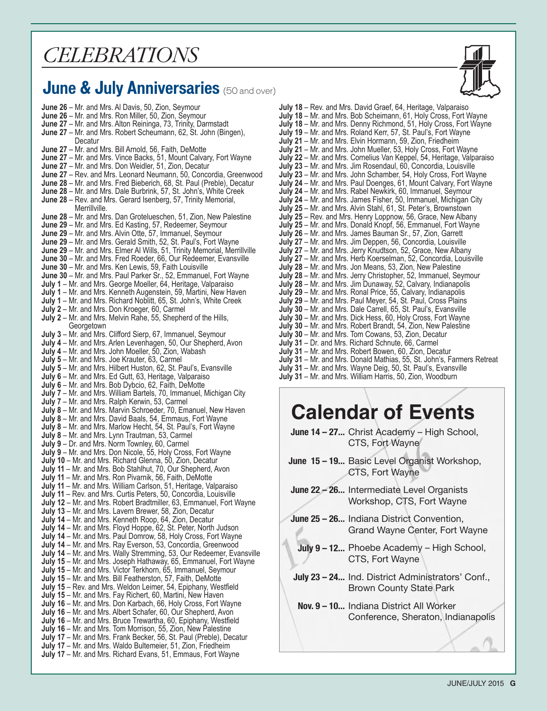### *celebrations*

### **June & July Anniversaries** (50 and over)



**June 26** – Mr. and Mrs. Al Davis, 50, Zion, Seymour **June 26** – Mr. and Mrs. Ron Miller, 50, Zion, Seymour **June 27** – Mr. and Mrs. Alton Reininga, 73, Trinity, Darmstadt **June 27** – Mr. and Mrs. Robert Scheumann, 62, St. John (Bingen), **Decatur June 27** – Mr. and Mrs. Bill Arnold, 56, Faith, DeMotte **June 27** – Mr. and Mrs. Vince Backs, 51, Mount Calvary, Fort Wayne **June 27** – Mr. and Mrs. Don Weidler, 51, Zion, Decatur **June 27** – Rev. and Mrs. Leonard Neumann, 50, Concordia, Greenwood **June 28** – Mr. and Mrs. Fred Bieberich, 68, St. Paul (Preble), Decatur **June 28** – Mr. and Mrs. Dale Burbrink, 57, St. John's, White Creek **June 28** – Rev. and Mrs. Gerard Isenberg, 57, Trinity Memorial, Merrillville. **June 28** – Mr. and Mrs. Dan Grotelueschen, 51, Zion, New Palestine **June 29** – Mr. and Mrs. Ed Kasting, 57, Redeemer, Seymour **June 29** – Mr. and Mrs. Alvin Otte, 57, Immanuel, Seymour **June 29** – Mr. and Mrs. Gerald Smith, 52, St. Paul's, Fort Wayne **June 29** – Mr. and Mrs. Elmer Al Wills, 51, Trinity Memorial, Merrillville **June 30** – Mr. and Mrs. Fred Roeder, 66, Our Redeemer, Evansville **June 30** – Mr. and Mrs. Ken Lewis, 59, Faith Louisville **June 30** – Mr. and Mrs. Paul Parker Sr., 52, Emmanuel, Fort Wayne **July 1** – Mr. and Mrs. George Moeller, 64, Heritage, Valparaiso **July 1** – Mr. and Mrs. Kenneth Augenstein, 59, Martini, New Haven **July 1** – Mr. and Mrs. Richard Noblitt, 65, St. John's, White Creek **July 2** – Mr. and Mrs. Don Kroeger, 60, Carmel **July 2** – Mr. and Mrs. Melvin Rahe, 55, Shepherd of the Hills, **Georgetown July 3** – Mr. and Mrs. Clifford Sierp, 67, Immanuel, Seymour **July 4** – Mr. and Mrs. Arlen Levenhagen, 50, Our Shepherd, Avon **July 4** – Mr. and Mrs. John Moeller, 50, Zion, Wabash **July 5** – Mr. and Mrs. Joe Krauter, 63, Carmel **July 5** – Mr. and Mrs. Hilbert Huston, 62, St. Paul's, Evansville **July 6** – Mr. and Mrs. Ed Gutt, 63, Heritage, Valparaiso **July 6** – Mr. and Mrs. Bob Dybcio, 62, Faith, DeMotte **July 7** – Mr. and Mrs. William Bartels, 70, Immanuel, Michigan City **July 7** – Mr. and Mrs. Ralph Kerwin, 53, Carmel **July 8** – Mr. and Mrs. Marvin Schroeder, 70, Emanuel, New Haven **July 8** – Mr. and Mrs. David Baals, 54, Emmaus, Fort Wayne **July 8** – Mr. and Mrs. Marlow Hecht, 54, St. Paul's, Fort Wayne **July 8** – Mr. and Mrs. Lynn Trautman, 53, Carmel **July 9** – Dr. and Mrs. Norm Townley, 60, Carmel **July 9** – Mr. and Mrs. Don Nicole, 55, Holy Cross, Fort Wayne **July 10** – Mr. and Mrs. Richard Glenna, 50, Zion, Decatur **July 11** – Mr. and Mrs. Bob Stahlhut, 70, Our Shepherd, Avon **July 11** – Mr. and Mrs. Ron Pivarnik, 56, Faith, DeMotte **July 11** – Mr. and Mrs. William Carlson, 51, Heritage, Valparaiso **July 11** – Rev. and Mrs. Curtis Peters, 50, Concordia, Louisville **July 12** – Mr. and Mrs. Robert Bradtmiller, 63, Emmanuel, Fort Wayne **July 13** – Mr. and Mrs. Lavern Brewer, 58, Zion, Decatur **July 14** – Mr. and Mrs. Kenneth Roop, 64, Zion, Decatur **July 14** – Mr. and Mrs. Floyd Hoppe, 62, St. Peter, North Judson **July 14** – Mr. and Mrs. Paul Domrow, 58, Holy Cross, Fort Wayne **July 14** – Mr. and Mrs. Ray Everson, 53, Concordia, Greenwood **July 14** – Mr. and Mrs. Wally Stremming, 53, Our Redeemer, Evansville **July 15** – Mr. and Mrs. Joseph Hathaway, 65, Emmanuel, Fort Wayne **July 15** – Mr. and Mrs. Victor Terkhorn, 65, Immanuel, Seymour **July 15** – Mr. and Mrs. Bill Featherston, 57, Faith, DeMotte **July 15** – Rev. and Mrs. Weldon Leimer, 54, Epiphany, Westfield **July 15** – Mr. and Mrs. Fay Richert, 60, Martini, New Haven **July 16** – Mr. and Mrs. Don Karbach, 66, Holy Cross, Fort Wayne **July 16** – Mr. and Mrs. Albert Schafer, 60, Our Shepherd, Avon **July 16** – Mr. and Mrs. Bruce Trewartha, 60, Epiphany, Westfield **July 16** – Mr. and Mrs. Tom Morrison, 55, Zion, New Palestine **July 17** – Mr. and Mrs. Frank Becker, 56, St. Paul (Preble), Decatur **July 17** – Mr. and Mrs. Waldo Bultemeier, 51, Zion, Friedheim **July 17** – Mr. and Mrs. Richard Evans, 51, Emmaus, Fort Wayne

| July 18 - Rev. and Mrs. David Graef, 64, Heritage, Valparaiso<br>July 18 - Mr. and Mrs. Bob Scheimann, 61, Holy Cross, Fort Wayne |
|-----------------------------------------------------------------------------------------------------------------------------------|
| July 18 - Mr. and Mrs. Denny Richmond, 51, Holy Cross, Fort Wayne                                                                 |
| July 19 - Mr. and Mrs. Roland Kerr, 57, St. Paul's, Fort Wayne                                                                    |
| July 21 - Mr. and Mrs. Elvin Hormann, 59, Zion, Friedheim                                                                         |
| July 21 - Mr. and Mrs. John Mueller, 53, Holy Cross, Fort Wayne                                                                   |
| July 22 – Mr. and Mrs. Cornelius Van Keppel, 54, Heritage, Valparaiso                                                             |
| July 23 - Mr. and Mrs. Jim Rosendaul, 60, Concordia, Louisville                                                                   |
| July 23 - Mr. and Mrs. John Schamber, 54, Holy Cross, Fort Wayne                                                                  |
| July 24 - Mr. and Mrs. Paul Doenges, 61, Mount Calvary, Fort Wayne                                                                |
| July 24 - Mr. and Mrs. Rabel Newkirk, 60, Immanuel, Seymour                                                                       |
| July 24 - Mr. and Mrs. James Fisher, 50, Immanuel, Michigan City                                                                  |
| July 25 - Mr. and Mrs. Alvin Stahl, 61, St. Peter's, Brownstown                                                                   |
| July 25 - Rev. and Mrs. Henry Loppnow, 56, Grace, New Albany                                                                      |
| July 25 - Mr. and Mrs. Donald Knopf, 56, Emmanuel, Fort Wayne                                                                     |
| July 26 - Mr. and Mrs. James Bauman Sr., 57, Zion, Garrett                                                                        |
| July 27 - Mr. and Mrs. Jim Deppen, 56, Concordia, Louisville                                                                      |
| July 27 - Mr. and Mrs. Jerry Knudtson, 52, Grace, New Albany                                                                      |
| July 27 - Mr. and Mrs. Herb Koerselman, 52, Concordia, Louisville                                                                 |
| July 28 - Mr. and Mrs. Jon Means, 53, Zion, New Palestine                                                                         |
| July 28 - Mr. and Mrs. Jerry Christopher, 52, Immanuel, Seymour                                                                   |
| July 28 - Mr. and Mrs. Jim Dunaway, 52, Calvary, Indianapolis                                                                     |
| July 29 - Mr. and Mrs. Ronal Price, 55, Calvary, Indianapolis                                                                     |
| <b>July 29</b> – Mr. and Mrs. Paul Meyer, 54, St. Paul, Cross Plains                                                              |
| <b>July 30</b> – Mr. and Mrs. Dale Carrell, 65, St. Paul's, Evansville                                                            |
| July 30 - Mr. and Mrs. Dick Hess, 60, Holy Cross, Fort Wayne                                                                      |
| July 30 - Mr. and Mrs. Robert Brandt, 54, Zion, New Palestine                                                                     |
| <b>July 30</b> – Mr. and Mrs. Tom Cowans, 53, Zion, Decatur                                                                       |
| July 31 - Dr. and Mrs. Richard Schnute, 66, Carmel                                                                                |
| July 31 - Mr. and Mrs. Robert Bowen, 60, Zion, Decatur                                                                            |
| July 31 - Mr. and Mrs. Donald Mathias, 55, St. John's, Farmers Retreat                                                            |
| July 31 - Mr. and Mrs. Wayne Deig, 50, St. Paul's, Evansville                                                                     |
| July 31 - Mr. and Mrs. William Harris, 50, Zion, Woodburn                                                                         |

### **Calendar of Events**

**June 14 – 27...** Christ Academy – High School, CTS, Fort Wayne

**June 15 – 19...** Basic Level Organist Workshop, CTS, Fort Wayne

- **June 22 26...** Intermediate Level Organists Workshop, CTS, Fort Wayne
- **June 25 26...** Indiana District Convention, Grand Wayne Center, Fort Wayne
- **July 9 12...** Phoebe Academy High School, CTS, Fort Wayne
- **July 23 24...** Ind. District Administrators' Conf., Brown County State Park
- **Nov. 9 10...** Indiana District All Worker Conference, Sheraton, Indianapolis